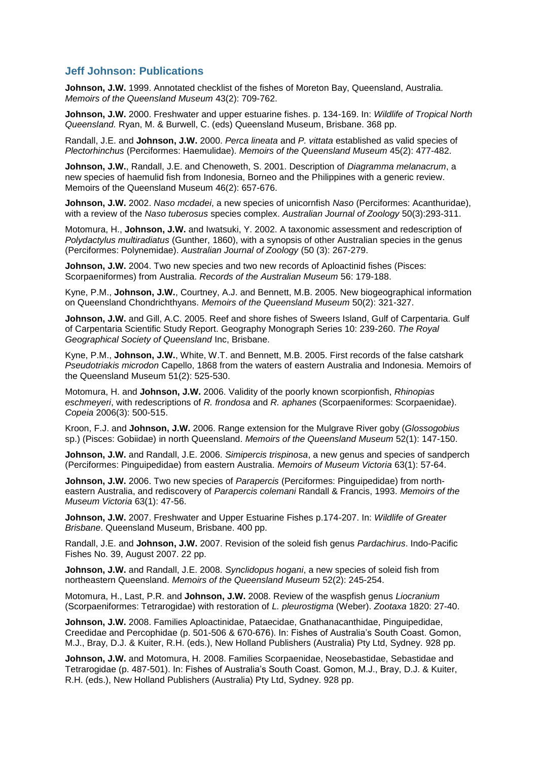## **Jeff Johnson: Publications**

**Johnson, J.W.** 1999. Annotated checklist of the fishes of Moreton Bay, Queensland, Australia. *Memoirs of the Queensland Museum* 43(2): 709-762.

**Johnson, J.W.** 2000. Freshwater and upper estuarine fishes. p. 134-169. In: *Wildlife of Tropical North Queensland.* Ryan, M. & Burwell, C. (eds) Queensland Museum, Brisbane. 368 pp.

Randall, J.E. and **Johnson, J.W.** 2000. *Perca lineata* and *P. vittata* established as valid species of *Plectorhinchus* (Perciformes: Haemulidae). *Memoirs of the Queensland Museum* 45(2): 477-482.

**Johnson, J.W.**, Randall, J.E. and Chenoweth, S. 2001. Description of *Diagramma melanacrum*, a new species of haemulid fish from Indonesia, Borneo and the Philippines with a generic review. Memoirs of the Queensland Museum 46(2): 657-676.

**Johnson, J.W.** 2002. *Naso mcdadei*, a new species of unicornfish *Naso* (Perciformes: Acanthuridae), with a review of the *Naso tuberosus* species complex. *Australian Journal of Zoology* 50(3):293-311.

Motomura, H., **Johnson, J.W.** and Iwatsuki, Y. 2002. A taxonomic assessment and redescription of *Polydactylus multiradiatus* (Gunther, 1860), with a synopsis of other Australian species in the genus (Perciformes: Polynemidae). *Australian Journal of Zoology* (50 (3): 267-279.

**Johnson, J.W.** 2004. Two new species and two new records of Aploactinid fishes (Pisces: Scorpaeniformes) from Australia. *Records of the Australian Museum* 56: 179-188.

Kyne, P.M., **Johnson, J.W.**, Courtney, A.J. and Bennett, M.B. 2005. New biogeographical information on Queensland Chondrichthyans. *Memoirs of the Queensland Museum* 50(2): 321-327.

**Johnson, J.W.** and Gill, A.C. 2005. Reef and shore fishes of Sweers Island, Gulf of Carpentaria. Gulf of Carpentaria Scientific Study Report. Geography Monograph Series 10: 239-260. *The Royal Geographical Society of Queensland* Inc, Brisbane.

Kyne, P.M., **Johnson, J.W.**, White, W.T. and Bennett, M.B. 2005. First records of the false catshark *Pseudotriakis microdon* Capello, 1868 from the waters of eastern Australia and Indonesia. Memoirs of the Queensland Museum 51(2): 525-530.

Motomura, H. and **Johnson, J.W.** 2006. Validity of the poorly known scorpionfish, *Rhinopias eschmeyeri*, with redescriptions of *R. frondosa* and *R. aphanes* (Scorpaeniformes: Scorpaenidae). *Copeia* 2006(3): 500-515.

Kroon, F.J. and **Johnson, J.W.** 2006. Range extension for the Mulgrave River goby (*Glossogobius* sp.) (Pisces: Gobiidae) in north Queensland. *Memoirs of the Queensland Museum* 52(1): 147-150.

**Johnson, J.W.** and Randall, J.E. 2006. *Simipercis trispinosa*, a new genus and species of sandperch (Perciformes: Pinguipedidae) from eastern Australia. *Memoirs of Museum Victoria* 63(1): 57-64.

**Johnson, J.W.** 2006. Two new species of *Parapercis* (Perciformes: Pinguipedidae) from northeastern Australia, and rediscovery of *Parapercis colemani* Randall & Francis, 1993. *Memoirs of the Museum Victoria* 63(1): 47-56.

**Johnson, J.W.** 2007. Freshwater and Upper Estuarine Fishes p.174-207. In: *Wildlife of Greater Brisbane*. Queensland Museum, Brisbane. 400 pp.

Randall, J.E. and **Johnson, J.W.** 2007. Revision of the soleid fish genus *Pardachirus*. Indo-Pacific Fishes No. 39, August 2007. 22 pp.

**Johnson, J.W.** and Randall, J.E. 2008. *Synclidopus hogani*, a new species of soleid fish from northeastern Queensland. *Memoirs of the Queensland Museum* 52(2): 245-254.

Motomura, H., Last, P.R. and **Johnson, J.W.** 2008. Review of the waspfish genus *Liocranium*  (Scorpaeniformes: Tetrarogidae) with restoration of *L. pleurostigma* (Weber). *Zootaxa* 1820: 27-40.

**Johnson, J.W.** 2008. Families Aploactinidae, Pataecidae, Gnathanacanthidae, Pinguipedidae, Creedidae and Percophidae (p. 501-506 & 670-676). In: Fishes of Australia's South Coast. Gomon, M.J., Bray, D.J. & Kuiter, R.H. (eds.), New Holland Publishers (Australia) Pty Ltd, Sydney. 928 pp.

**Johnson, J.W.** and Motomura, H. 2008. Families Scorpaenidae, Neosebastidae, Sebastidae and Tetrarogidae (p. 487-501). In: Fishes of Australia's South Coast. Gomon, M.J., Bray, D.J. & Kuiter, R.H. (eds.), New Holland Publishers (Australia) Pty Ltd, Sydney. 928 pp.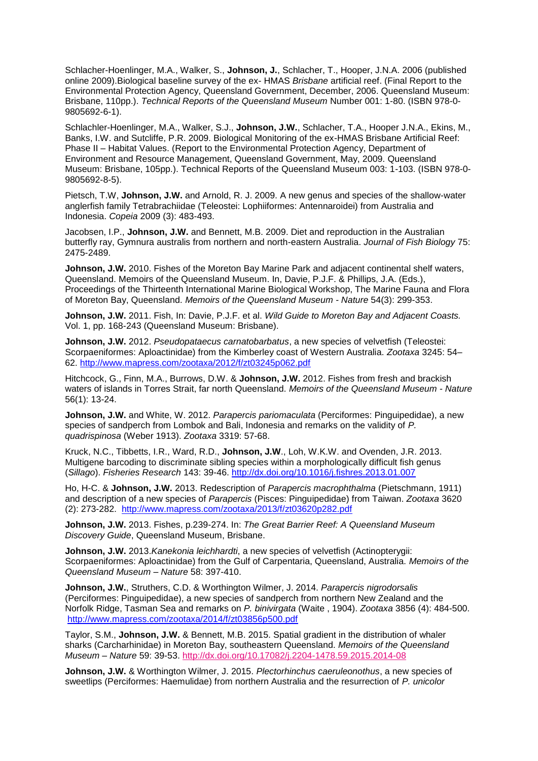Schlacher-Hoenlinger, M.A., Walker, S., **Johnson, J.**, Schlacher, T., Hooper, J.N.A. 2006 (published online 2009).Biological baseline survey of the ex- HMAS *Brisbane* artificial reef. (Final Report to the Environmental Protection Agency, Queensland Government, December, 2006. Queensland Museum: Brisbane, 110pp.). *Technical Reports of the Queensland Museum* Number 001: 1-80. (ISBN 978-0- 9805692-6-1).

Schlachler-Hoenlinger, M.A., Walker, S.J., **Johnson, J.W.**, Schlacher, T.A., Hooper J.N.A., Ekins, M., Banks, I.W. and Sutcliffe, P.R. 2009. Biological Monitoring of the ex-HMAS Brisbane Artificial Reef: Phase II – Habitat Values. (Report to the Environmental Protection Agency, Department of Environment and Resource Management, Queensland Government, May, 2009. Queensland Museum: Brisbane, 105pp.). Technical Reports of the Queensland Museum 003: 1-103. (ISBN 978-0- 9805692-8-5).

Pietsch, T.W, **Johnson, J.W.** and Arnold, R. J. 2009. A new genus and species of the shallow-water anglerfish family Tetrabrachiidae (Teleostei: Lophiiformes: Antennaroidei) from Australia and Indonesia. *Copeia* 2009 (3): 483-493.

Jacobsen, I.P., **Johnson, J.W.** and Bennett, M.B. 2009. Diet and reproduction in the Australian butterfly ray, Gymnura australis from northern and north-eastern Australia. *Journal of Fish Biology* 75: 2475-2489.

**Johnson, J.W.** 2010. Fishes of the Moreton Bay Marine Park and adjacent continental shelf waters, Queensland. Memoirs of the Queensland Museum. In, Davie, P.J.F. & Phillips, J.A. (Eds.), Proceedings of the Thirteenth International Marine Biological Workshop, The Marine Fauna and Flora of Moreton Bay, Queensland. *Memoirs of the Queensland Museum - Nature* 54(3): 299-353.

**Johnson, J.W.** 2011. Fish, In: Davie, P.J.F. et al. *Wild Guide to Moreton Bay and Adjacent Coasts.* Vol. 1, pp. 168-243 (Queensland Museum: Brisbane).

**Johnson, J.W.** 2012. *Pseudopataecus carnatobarbatus*, a new species of velvetfish (Teleostei: Scorpaeniformes: Aploactinidae) from the Kimberley coast of Western Australia. *Zootaxa* 3245: 54– 62. <http://www.mapress.com/zootaxa/2012/f/zt03245p062.pdf>

Hitchcock, G., Finn, M.A., Burrows, D.W. & **Johnson, J.W.** 2012. Fishes from fresh and brackish waters of islands in Torres Strait, far north Queensland. *Memoirs of the Queensland Museum - Nature* 56(1): 13-24.

**Johnson, J.W.** and White, W. 2012. *Parapercis pariomaculata* (Perciformes: Pinguipedidae), a new species of sandperch from Lombok and Bali, Indonesia and remarks on the validity of *P. quadrispinosa* (Weber 1913). *Zootaxa* 3319: 57-68.

Kruck, N.C., Tibbetts, I.R., Ward, R.D., **Johnson, J.W**., Loh, W.K.W. and Ovenden, J.R. 2013. Multigene barcoding to discriminate sibling species within a morphologically difficult fish genus (*Sillago*). *Fisheries Research* 143: 39-46.<http://dx.doi.org/10.1016/j.fishres.2013.01.007>

Ho, H-C. & **Johnson, J.W.** 2013. Redescription of *Parapercis macrophthalma* (Pietschmann, 1911) and description of a new species of *Parapercis* (Pisces: Pinguipedidae) from Taiwan. *Zootaxa* 3620 (2): 273-282. <http://www.mapress.com/zootaxa/2013/f/zt03620p282.pdf>

**Johnson, J.W.** 2013. Fishes, p.239-274. In: *The Great Barrier Reef: A Queensland Museum Discovery Guide*, Queensland Museum, Brisbane.

**Johnson, J.W.** 2013.*Kanekonia leichhardti*, a new species of velvetfish (Actinopterygii: Scorpaeniformes: Aploactinidae) from the Gulf of Carpentaria, Queensland, Australia. *Memoirs of the Queensland Museum – Nature* 58: 397-410.

**Johnson, J.W.**, Struthers, C.D. & Worthington Wilmer, J. 2014. *Parapercis nigrodorsalis* (Perciformes: Pinguipedidae), a new species of sandperch from northern New Zealand and the Norfolk Ridge, Tasman Sea and remarks on *P. binivirgata* (Waite , 1904). *Zootaxa* 3856 (4): 484-500. <http://www.mapress.com/zootaxa/2014/f/zt03856p500.pdf>

Taylor, S.M., **Johnson, J.W.** & Bennett, M.B. 2015. Spatial gradient in the distribution of whaler sharks (Carcharhinidae) in Moreton Bay, southeastern Queensland. *Memoirs of the Queensland Museum – Nature* 59: 39-53.<http://dx.doi.org/10.17082/j.2204-1478.59.2015.2014-08>

**Johnson, J.W.** & Worthington Wilmer, J. 2015. *Plectorhinchus caeruleonothus*, a new species of sweetlips (Perciformes: Haemulidae) from northern Australia and the resurrection of *P. unicolor*